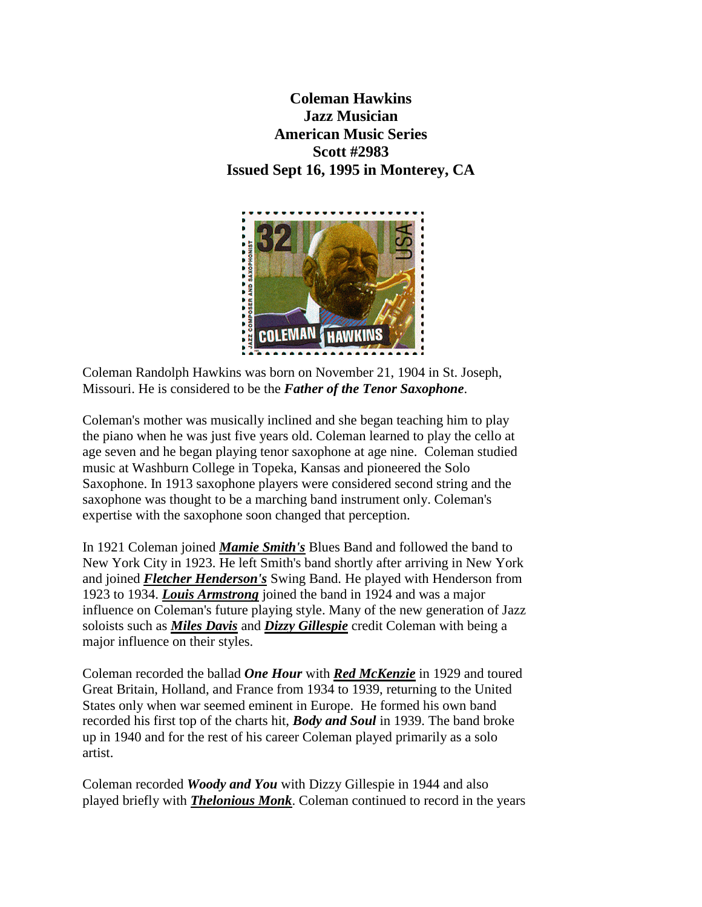**Coleman Hawkins Jazz Musician American Music Series Scott #2983 Issued Sept 16, 1995 in Monterey, CA**



Coleman Randolph Hawkins was born on November 21, 1904 in St. Joseph, Missouri. He is considered to be the *Father of the Tenor Saxophone*.

Coleman's mother was musically inclined and she began teaching him to play the piano when he was just five years old. Coleman learned to play the cello at age seven and he began playing tenor saxophone at age nine. Coleman studied music at Washburn College in Topeka, Kansas and pioneered the Solo Saxophone. In 1913 saxophone players were considered second string and the saxophone was thought to be a marching band instrument only. Coleman's expertise with the saxophone soon changed that perception.

In 1921 Coleman joined *[Mamie Smith's](http://www.blueflamecafe.com/Mamie_Smith.html)* Blues Band and followed the band to New York City in 1923. He left Smith's band shortly after arriving in New York and joined *[Fletcher Henderson's](http://music.msn.com/Artist/Default.aspx?artist=112740)* Swing Band. He played with Henderson from 1923 to 1934. *[Louis Armstrong](http://esperstamps.org/aa32.htm)* joined the band in 1924 and was a major influence on Coleman's future playing style. Many of the new generation of Jazz soloists such as *[Miles Davis](http://music.msn.com/Artist/Default.aspx?artist=100420)* and *[Dizzy Gillespie](http://music.msn.com/Artist/Default.aspx?artist=100191)* credit Coleman with being a major influence on their styles.

Coleman recorded the ballad *One Hour* with *[Red McKenzie](http://www.redhotjazz.com/mckenzie.html)* in 1929 and toured Great Britain, Holland, and France from 1934 to 1939, returning to the United States only when war seemed eminent in Europe. He formed his own band recorded his first top of the charts hit, *Body and Soul* in 1939. The band broke up in 1940 and for the rest of his career Coleman played primarily as a solo artist.

Coleman recorded *Woody and You* with Dizzy Gillespie in 1944 and also played briefly with *[Thelonious Monk](http://esperstamps.org/aa39.htm)*. Coleman continued to record in the years